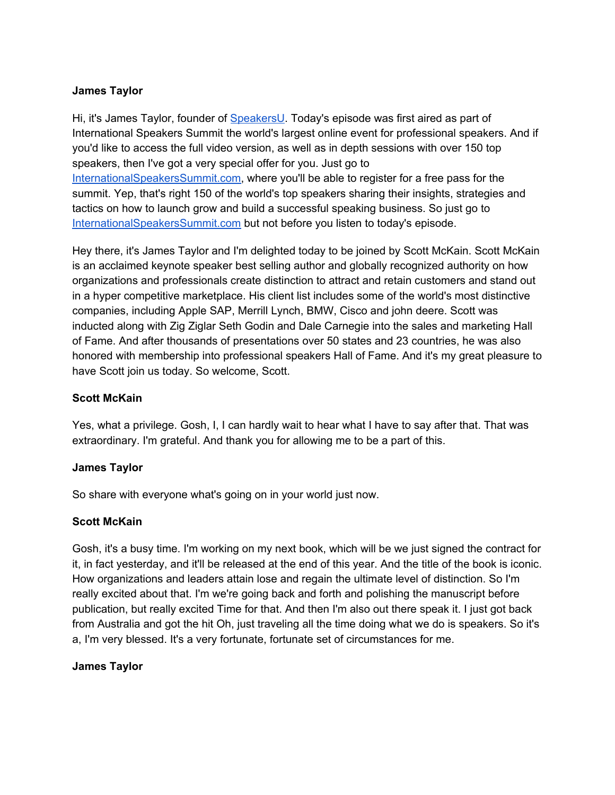### **James Taylor**

Hi, it's James Taylor, founder of [SpeakersU.](https://speakersu.com/) Today's episode was first aired as part of International Speakers Summit the world's largest online event for professional speakers. And if you'd like to access the full video version, as well as in depth sessions with over 150 top speakers, then I've got a very special offer for you. Just go to [InternationalSpeakersSummit.com](http://internationalspeakerssummit.com/), where you'll be able to register for a free pass for the summit. Yep, that's right 150 of the world's top speakers sharing their insights, strategies and tactics on how to launch grow and build a successful speaking business. So just go t[o](http://internationalspeakerssummit.com/) [InternationalSpeakersSummit.com](http://internationalspeakerssummit.com/) but not before you listen to today's episode.

Hey there, it's James Taylor and I'm delighted today to be joined by Scott McKain. Scott McKain is an acclaimed keynote speaker best selling author and globally recognized authority on how organizations and professionals create distinction to attract and retain customers and stand out in a hyper competitive marketplace. His client list includes some of the world's most distinctive companies, including Apple SAP, Merrill Lynch, BMW, Cisco and john deere. Scott was inducted along with Zig Ziglar Seth Godin and Dale Carnegie into the sales and marketing Hall of Fame. And after thousands of presentations over 50 states and 23 countries, he was also honored with membership into professional speakers Hall of Fame. And it's my great pleasure to have Scott join us today. So welcome, Scott.

#### **Scott McKain**

Yes, what a privilege. Gosh, I, I can hardly wait to hear what I have to say after that. That was extraordinary. I'm grateful. And thank you for allowing me to be a part of this.

#### **James Taylor**

So share with everyone what's going on in your world just now.

## **Scott McKain**

Gosh, it's a busy time. I'm working on my next book, which will be we just signed the contract for it, in fact yesterday, and it'll be released at the end of this year. And the title of the book is iconic. How organizations and leaders attain lose and regain the ultimate level of distinction. So I'm really excited about that. I'm we're going back and forth and polishing the manuscript before publication, but really excited Time for that. And then I'm also out there speak it. I just got back from Australia and got the hit Oh, just traveling all the time doing what we do is speakers. So it's a, I'm very blessed. It's a very fortunate, fortunate set of circumstances for me.

## **James Taylor**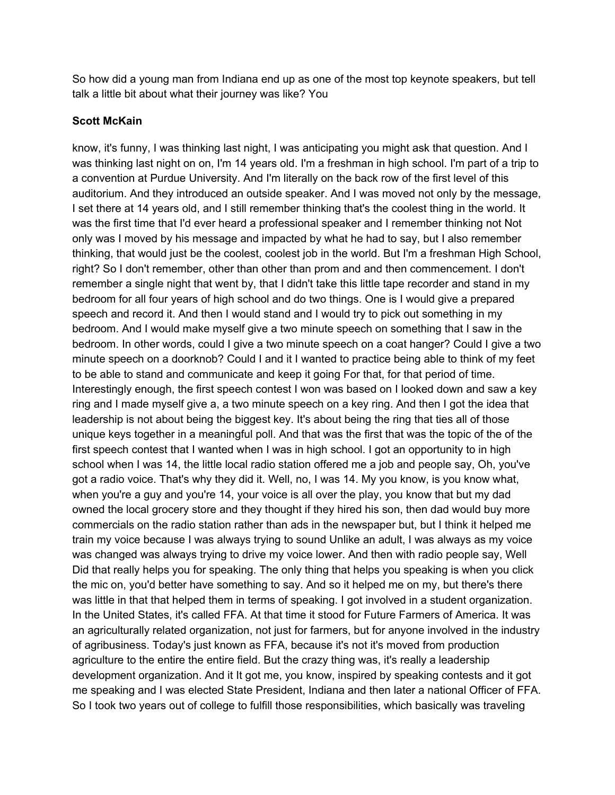So how did a young man from Indiana end up as one of the most top keynote speakers, but tell talk a little bit about what their journey was like? You

### **Scott McKain**

know, it's funny, I was thinking last night, I was anticipating you might ask that question. And I was thinking last night on on, I'm 14 years old. I'm a freshman in high school. I'm part of a trip to a convention at Purdue University. And I'm literally on the back row of the first level of this auditorium. And they introduced an outside speaker. And I was moved not only by the message, I set there at 14 years old, and I still remember thinking that's the coolest thing in the world. It was the first time that I'd ever heard a professional speaker and I remember thinking not Not only was I moved by his message and impacted by what he had to say, but I also remember thinking, that would just be the coolest, coolest job in the world. But I'm a freshman High School, right? So I don't remember, other than other than prom and and then commencement. I don't remember a single night that went by, that I didn't take this little tape recorder and stand in my bedroom for all four years of high school and do two things. One is I would give a prepared speech and record it. And then I would stand and I would try to pick out something in my bedroom. And I would make myself give a two minute speech on something that I saw in the bedroom. In other words, could I give a two minute speech on a coat hanger? Could I give a two minute speech on a doorknob? Could I and it I wanted to practice being able to think of my feet to be able to stand and communicate and keep it going For that, for that period of time. Interestingly enough, the first speech contest I won was based on I looked down and saw a key ring and I made myself give a, a two minute speech on a key ring. And then I got the idea that leadership is not about being the biggest key. It's about being the ring that ties all of those unique keys together in a meaningful poll. And that was the first that was the topic of the of the first speech contest that I wanted when I was in high school. I got an opportunity to in high school when I was 14, the little local radio station offered me a job and people say, Oh, you've got a radio voice. That's why they did it. Well, no, I was 14. My you know, is you know what, when you're a guy and you're 14, your voice is all over the play, you know that but my dad owned the local grocery store and they thought if they hired his son, then dad would buy more commercials on the radio station rather than ads in the newspaper but, but I think it helped me train my voice because I was always trying to sound Unlike an adult, I was always as my voice was changed was always trying to drive my voice lower. And then with radio people say, Well Did that really helps you for speaking. The only thing that helps you speaking is when you click the mic on, you'd better have something to say. And so it helped me on my, but there's there was little in that that helped them in terms of speaking. I got involved in a student organization. In the United States, it's called FFA. At that time it stood for Future Farmers of America. It was an agriculturally related organization, not just for farmers, but for anyone involved in the industry of agribusiness. Today's just known as FFA, because it's not it's moved from production agriculture to the entire the entire field. But the crazy thing was, it's really a leadership development organization. And it It got me, you know, inspired by speaking contests and it got me speaking and I was elected State President, Indiana and then later a national Officer of FFA. So I took two years out of college to fulfill those responsibilities, which basically was traveling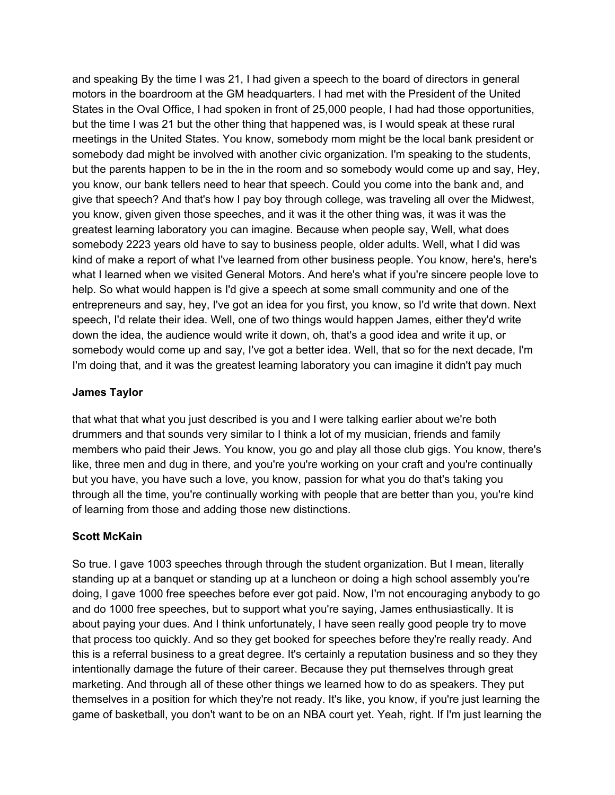and speaking By the time I was 21, I had given a speech to the board of directors in general motors in the boardroom at the GM headquarters. I had met with the President of the United States in the Oval Office, I had spoken in front of 25,000 people, I had had those opportunities, but the time I was 21 but the other thing that happened was, is I would speak at these rural meetings in the United States. You know, somebody mom might be the local bank president or somebody dad might be involved with another civic organization. I'm speaking to the students, but the parents happen to be in the in the room and so somebody would come up and say, Hey, you know, our bank tellers need to hear that speech. Could you come into the bank and, and give that speech? And that's how I pay boy through college, was traveling all over the Midwest, you know, given given those speeches, and it was it the other thing was, it was it was the greatest learning laboratory you can imagine. Because when people say, Well, what does somebody 2223 years old have to say to business people, older adults. Well, what I did was kind of make a report of what I've learned from other business people. You know, here's, here's what I learned when we visited General Motors. And here's what if you're sincere people love to help. So what would happen is I'd give a speech at some small community and one of the entrepreneurs and say, hey, I've got an idea for you first, you know, so I'd write that down. Next speech, I'd relate their idea. Well, one of two things would happen James, either they'd write down the idea, the audience would write it down, oh, that's a good idea and write it up, or somebody would come up and say, I've got a better idea. Well, that so for the next decade, I'm I'm doing that, and it was the greatest learning laboratory you can imagine it didn't pay much

### **James Taylor**

that what that what you just described is you and I were talking earlier about we're both drummers and that sounds very similar to I think a lot of my musician, friends and family members who paid their Jews. You know, you go and play all those club gigs. You know, there's like, three men and dug in there, and you're you're working on your craft and you're continually but you have, you have such a love, you know, passion for what you do that's taking you through all the time, you're continually working with people that are better than you, you're kind of learning from those and adding those new distinctions.

#### **Scott McKain**

So true. I gave 1003 speeches through through the student organization. But I mean, literally standing up at a banquet or standing up at a luncheon or doing a high school assembly you're doing, I gave 1000 free speeches before ever got paid. Now, I'm not encouraging anybody to go and do 1000 free speeches, but to support what you're saying, James enthusiastically. It is about paying your dues. And I think unfortunately, I have seen really good people try to move that process too quickly. And so they get booked for speeches before they're really ready. And this is a referral business to a great degree. It's certainly a reputation business and so they they intentionally damage the future of their career. Because they put themselves through great marketing. And through all of these other things we learned how to do as speakers. They put themselves in a position for which they're not ready. It's like, you know, if you're just learning the game of basketball, you don't want to be on an NBA court yet. Yeah, right. If I'm just learning the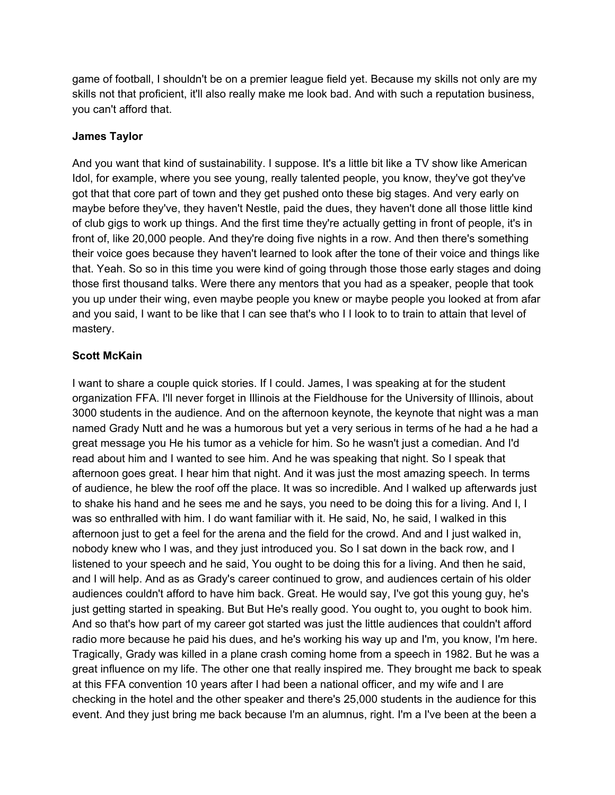game of football, I shouldn't be on a premier league field yet. Because my skills not only are my skills not that proficient, it'll also really make me look bad. And with such a reputation business, you can't afford that.

### **James Taylor**

And you want that kind of sustainability. I suppose. It's a little bit like a TV show like American Idol, for example, where you see young, really talented people, you know, they've got they've got that that core part of town and they get pushed onto these big stages. And very early on maybe before they've, they haven't Nestle, paid the dues, they haven't done all those little kind of club gigs to work up things. And the first time they're actually getting in front of people, it's in front of, like 20,000 people. And they're doing five nights in a row. And then there's something their voice goes because they haven't learned to look after the tone of their voice and things like that. Yeah. So so in this time you were kind of going through those those early stages and doing those first thousand talks. Were there any mentors that you had as a speaker, people that took you up under their wing, even maybe people you knew or maybe people you looked at from afar and you said, I want to be like that I can see that's who I I look to to train to attain that level of mastery.

## **Scott McKain**

I want to share a couple quick stories. If I could. James, I was speaking at for the student organization FFA. I'll never forget in Illinois at the Fieldhouse for the University of Illinois, about 3000 students in the audience. And on the afternoon keynote, the keynote that night was a man named Grady Nutt and he was a humorous but yet a very serious in terms of he had a he had a great message you He his tumor as a vehicle for him. So he wasn't just a comedian. And I'd read about him and I wanted to see him. And he was speaking that night. So I speak that afternoon goes great. I hear him that night. And it was just the most amazing speech. In terms of audience, he blew the roof off the place. It was so incredible. And I walked up afterwards just to shake his hand and he sees me and he says, you need to be doing this for a living. And I, I was so enthralled with him. I do want familiar with it. He said, No, he said, I walked in this afternoon just to get a feel for the arena and the field for the crowd. And and I just walked in, nobody knew who I was, and they just introduced you. So I sat down in the back row, and I listened to your speech and he said, You ought to be doing this for a living. And then he said, and I will help. And as as Grady's career continued to grow, and audiences certain of his older audiences couldn't afford to have him back. Great. He would say, I've got this young guy, he's just getting started in speaking. But But He's really good. You ought to, you ought to book him. And so that's how part of my career got started was just the little audiences that couldn't afford radio more because he paid his dues, and he's working his way up and I'm, you know, I'm here. Tragically, Grady was killed in a plane crash coming home from a speech in 1982. But he was a great influence on my life. The other one that really inspired me. They brought me back to speak at this FFA convention 10 years after I had been a national officer, and my wife and I are checking in the hotel and the other speaker and there's 25,000 students in the audience for this event. And they just bring me back because I'm an alumnus, right. I'm a I've been at the been a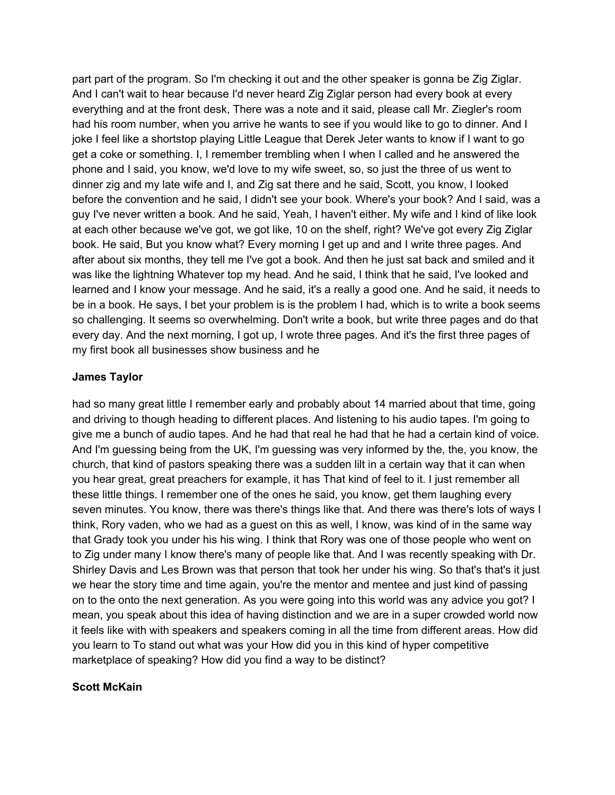part part of the program. So I'm checking it out and the other speaker is gonna be Zig Ziglar. And I can't wait to hear because I'd never heard Zig Ziglar person had every book at every everything and at the front desk, There was a note and it said, please call Mr. Ziegler's room had his room number, when you arrive he wants to see if you would like to go to dinner. And I joke I feel like a shortstop playing Little League that Derek Jeter wants to know if I want to go get a coke or something. I, I remember trembling when I when I called and he answered the phone and I said, you know, we'd love to my wife sweet, so, so just the three of us went to dinner zig and my late wife and I, and Zig sat there and he said, Scott, you know, I looked before the convention and he said, I didn't see your book. Where's your book? And I said, was a guy I've never written a book. And he said, Yeah, I haven't either. My wife and I kind of like look at each other because we've got, we got like, 10 on the shelf, right? We've got every Zig Ziglar book. He said, But you know what? Every morning I get up and and I write three pages. And after about six months, they tell me I've got a book. And then he just sat back and smiled and it was like the lightning Whatever top my head. And he said, I think that he said, I've looked and learned and I know your message. And he said, it's a really a good one. And he said, it needs to be in a book. He says, I bet your problem is is the problem I had, which is to write a book seems so challenging. It seems so overwhelming. Don't write a book, but write three pages and do that every day. And the next morning, I got up, I wrote three pages. And it's the first three pages of my first book all businesses show business and he

#### **James Taylor**

had so many great little I remember early and probably about 14 married about that time, going and driving to though heading to different places. And listening to his audio tapes. I'm going to give me a bunch of audio tapes. And he had that real he had that he had a certain kind of voice. And I'm guessing being from the UK, I'm guessing was very informed by the, the, you know, the church, that kind of pastors speaking there was a sudden lilt in a certain way that it can when you hear great, great preachers for example, it has That kind of feel to it. I just remember all these little things. I remember one of the ones he said, you know, get them laughing every seven minutes. You know, there was there's things like that. And there was there's lots of ways I think, Rory vaden, who we had as a guest on this as well, I know, was kind of in the same way that Grady took you under his his wing. I think that Rory was one of those people who went on to Zig under many I know there's many of people like that. And I was recently speaking with Dr. Shirley Davis and Les Brown was that person that took her under his wing. So that's that's it just we hear the story time and time again, you're the mentor and mentee and just kind of passing on to the onto the next generation. As you were going into this world was any advice you got? I mean, you speak about this idea of having distinction and we are in a super crowded world now it feels like with with speakers and speakers coming in all the time from different areas. How did you learn to To stand out what was your How did you in this kind of hyper competitive marketplace of speaking? How did you find a way to be distinct?

#### **Scott McKain**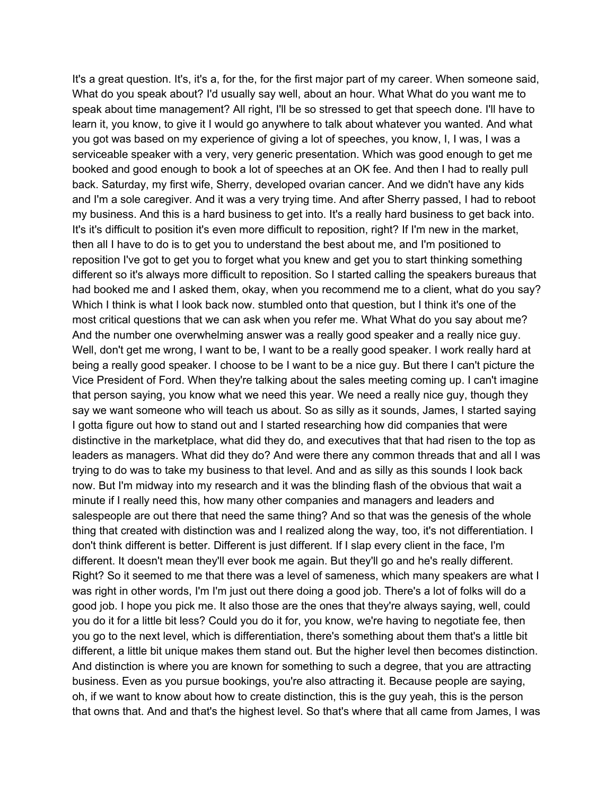It's a great question. It's, it's a, for the, for the first major part of my career. When someone said, What do you speak about? I'd usually say well, about an hour. What What do you want me to speak about time management? All right, I'll be so stressed to get that speech done. I'll have to learn it, you know, to give it I would go anywhere to talk about whatever you wanted. And what you got was based on my experience of giving a lot of speeches, you know, I, I was, I was a serviceable speaker with a very, very generic presentation. Which was good enough to get me booked and good enough to book a lot of speeches at an OK fee. And then I had to really pull back. Saturday, my first wife, Sherry, developed ovarian cancer. And we didn't have any kids and I'm a sole caregiver. And it was a very trying time. And after Sherry passed, I had to reboot my business. And this is a hard business to get into. It's a really hard business to get back into. It's it's difficult to position it's even more difficult to reposition, right? If I'm new in the market, then all I have to do is to get you to understand the best about me, and I'm positioned to reposition I've got to get you to forget what you knew and get you to start thinking something different so it's always more difficult to reposition. So I started calling the speakers bureaus that had booked me and I asked them, okay, when you recommend me to a client, what do you say? Which I think is what I look back now. stumbled onto that question, but I think it's one of the most critical questions that we can ask when you refer me. What What do you say about me? And the number one overwhelming answer was a really good speaker and a really nice guy. Well, don't get me wrong, I want to be, I want to be a really good speaker. I work really hard at being a really good speaker. I choose to be I want to be a nice guy. But there I can't picture the Vice President of Ford. When they're talking about the sales meeting coming up. I can't imagine that person saying, you know what we need this year. We need a really nice guy, though they say we want someone who will teach us about. So as silly as it sounds, James, I started saying I gotta figure out how to stand out and I started researching how did companies that were distinctive in the marketplace, what did they do, and executives that that had risen to the top as leaders as managers. What did they do? And were there any common threads that and all I was trying to do was to take my business to that level. And and as silly as this sounds I look back now. But I'm midway into my research and it was the blinding flash of the obvious that wait a minute if I really need this, how many other companies and managers and leaders and salespeople are out there that need the same thing? And so that was the genesis of the whole thing that created with distinction was and I realized along the way, too, it's not differentiation. I don't think different is better. Different is just different. If I slap every client in the face, I'm different. It doesn't mean they'll ever book me again. But they'll go and he's really different. Right? So it seemed to me that there was a level of sameness, which many speakers are what I was right in other words, I'm I'm just out there doing a good job. There's a lot of folks will do a good job. I hope you pick me. It also those are the ones that they're always saying, well, could you do it for a little bit less? Could you do it for, you know, we're having to negotiate fee, then you go to the next level, which is differentiation, there's something about them that's a little bit different, a little bit unique makes them stand out. But the higher level then becomes distinction. And distinction is where you are known for something to such a degree, that you are attracting business. Even as you pursue bookings, you're also attracting it. Because people are saying, oh, if we want to know about how to create distinction, this is the guy yeah, this is the person that owns that. And and that's the highest level. So that's where that all came from James, I was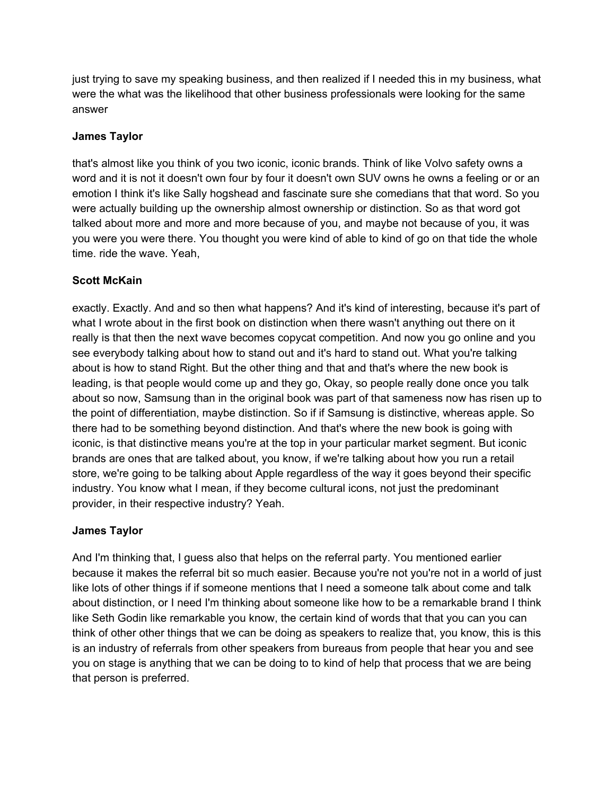just trying to save my speaking business, and then realized if I needed this in my business, what were the what was the likelihood that other business professionals were looking for the same answer

### **James Taylor**

that's almost like you think of you two iconic, iconic brands. Think of like Volvo safety owns a word and it is not it doesn't own four by four it doesn't own SUV owns he owns a feeling or or an emotion I think it's like Sally hogshead and fascinate sure she comedians that that word. So you were actually building up the ownership almost ownership or distinction. So as that word got talked about more and more and more because of you, and maybe not because of you, it was you were you were there. You thought you were kind of able to kind of go on that tide the whole time. ride the wave. Yeah,

### **Scott McKain**

exactly. Exactly. And and so then what happens? And it's kind of interesting, because it's part of what I wrote about in the first book on distinction when there wasn't anything out there on it really is that then the next wave becomes copycat competition. And now you go online and you see everybody talking about how to stand out and it's hard to stand out. What you're talking about is how to stand Right. But the other thing and that and that's where the new book is leading, is that people would come up and they go, Okay, so people really done once you talk about so now, Samsung than in the original book was part of that sameness now has risen up to the point of differentiation, maybe distinction. So if if Samsung is distinctive, whereas apple. So there had to be something beyond distinction. And that's where the new book is going with iconic, is that distinctive means you're at the top in your particular market segment. But iconic brands are ones that are talked about, you know, if we're talking about how you run a retail store, we're going to be talking about Apple regardless of the way it goes beyond their specific industry. You know what I mean, if they become cultural icons, not just the predominant provider, in their respective industry? Yeah.

## **James Taylor**

And I'm thinking that, I guess also that helps on the referral party. You mentioned earlier because it makes the referral bit so much easier. Because you're not you're not in a world of just like lots of other things if if someone mentions that I need a someone talk about come and talk about distinction, or I need I'm thinking about someone like how to be a remarkable brand I think like Seth Godin like remarkable you know, the certain kind of words that that you can you can think of other other things that we can be doing as speakers to realize that, you know, this is this is an industry of referrals from other speakers from bureaus from people that hear you and see you on stage is anything that we can be doing to to kind of help that process that we are being that person is preferred.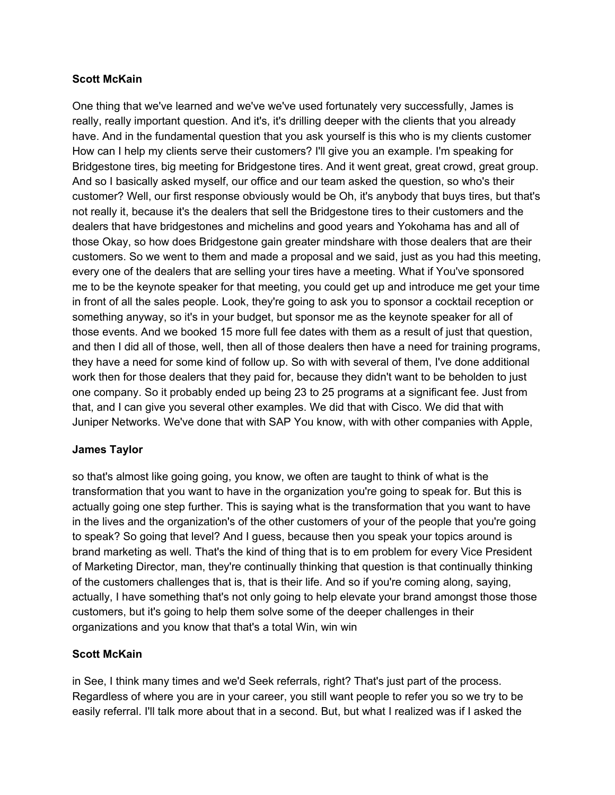### **Scott McKain**

One thing that we've learned and we've we've used fortunately very successfully, James is really, really important question. And it's, it's drilling deeper with the clients that you already have. And in the fundamental question that you ask yourself is this who is my clients customer How can I help my clients serve their customers? I'll give you an example. I'm speaking for Bridgestone tires, big meeting for Bridgestone tires. And it went great, great crowd, great group. And so I basically asked myself, our office and our team asked the question, so who's their customer? Well, our first response obviously would be Oh, it's anybody that buys tires, but that's not really it, because it's the dealers that sell the Bridgestone tires to their customers and the dealers that have bridgestones and michelins and good years and Yokohama has and all of those Okay, so how does Bridgestone gain greater mindshare with those dealers that are their customers. So we went to them and made a proposal and we said, just as you had this meeting, every one of the dealers that are selling your tires have a meeting. What if You've sponsored me to be the keynote speaker for that meeting, you could get up and introduce me get your time in front of all the sales people. Look, they're going to ask you to sponsor a cocktail reception or something anyway, so it's in your budget, but sponsor me as the keynote speaker for all of those events. And we booked 15 more full fee dates with them as a result of just that question, and then I did all of those, well, then all of those dealers then have a need for training programs, they have a need for some kind of follow up. So with with several of them, I've done additional work then for those dealers that they paid for, because they didn't want to be beholden to just one company. So it probably ended up being 23 to 25 programs at a significant fee. Just from that, and I can give you several other examples. We did that with Cisco. We did that with Juniper Networks. We've done that with SAP You know, with with other companies with Apple,

## **James Taylor**

so that's almost like going going, you know, we often are taught to think of what is the transformation that you want to have in the organization you're going to speak for. But this is actually going one step further. This is saying what is the transformation that you want to have in the lives and the organization's of the other customers of your of the people that you're going to speak? So going that level? And I guess, because then you speak your topics around is brand marketing as well. That's the kind of thing that is to em problem for every Vice President of Marketing Director, man, they're continually thinking that question is that continually thinking of the customers challenges that is, that is their life. And so if you're coming along, saying, actually, I have something that's not only going to help elevate your brand amongst those those customers, but it's going to help them solve some of the deeper challenges in their organizations and you know that that's a total Win, win win

## **Scott McKain**

in See, I think many times and we'd Seek referrals, right? That's just part of the process. Regardless of where you are in your career, you still want people to refer you so we try to be easily referral. I'll talk more about that in a second. But, but what I realized was if I asked the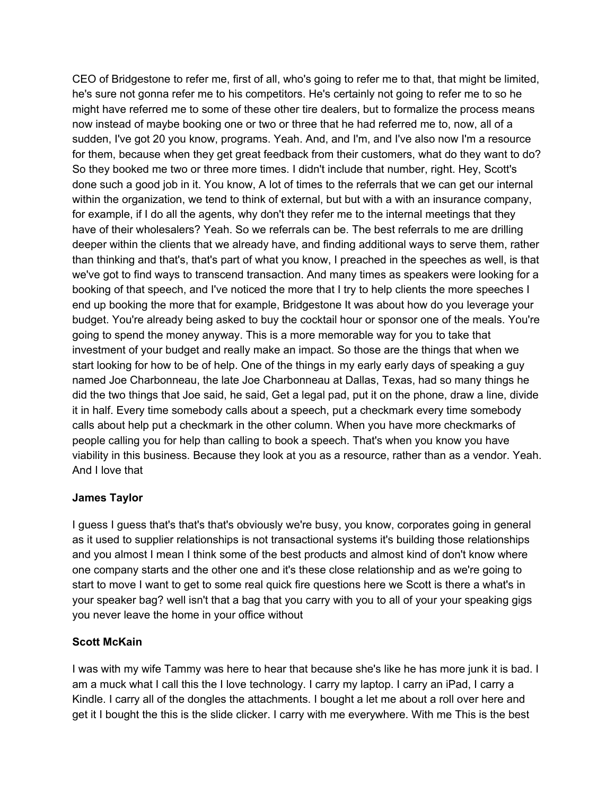CEO of Bridgestone to refer me, first of all, who's going to refer me to that, that might be limited, he's sure not gonna refer me to his competitors. He's certainly not going to refer me to so he might have referred me to some of these other tire dealers, but to formalize the process means now instead of maybe booking one or two or three that he had referred me to, now, all of a sudden, I've got 20 you know, programs. Yeah. And, and I'm, and I've also now I'm a resource for them, because when they get great feedback from their customers, what do they want to do? So they booked me two or three more times. I didn't include that number, right. Hey, Scott's done such a good job in it. You know, A lot of times to the referrals that we can get our internal within the organization, we tend to think of external, but but with a with an insurance company, for example, if I do all the agents, why don't they refer me to the internal meetings that they have of their wholesalers? Yeah. So we referrals can be. The best referrals to me are drilling deeper within the clients that we already have, and finding additional ways to serve them, rather than thinking and that's, that's part of what you know, I preached in the speeches as well, is that we've got to find ways to transcend transaction. And many times as speakers were looking for a booking of that speech, and I've noticed the more that I try to help clients the more speeches I end up booking the more that for example, Bridgestone It was about how do you leverage your budget. You're already being asked to buy the cocktail hour or sponsor one of the meals. You're going to spend the money anyway. This is a more memorable way for you to take that investment of your budget and really make an impact. So those are the things that when we start looking for how to be of help. One of the things in my early early days of speaking a guy named Joe Charbonneau, the late Joe Charbonneau at Dallas, Texas, had so many things he did the two things that Joe said, he said, Get a legal pad, put it on the phone, draw a line, divide it in half. Every time somebody calls about a speech, put a checkmark every time somebody calls about help put a checkmark in the other column. When you have more checkmarks of people calling you for help than calling to book a speech. That's when you know you have viability in this business. Because they look at you as a resource, rather than as a vendor. Yeah. And I love that

## **James Taylor**

I guess I guess that's that's that's obviously we're busy, you know, corporates going in general as it used to supplier relationships is not transactional systems it's building those relationships and you almost I mean I think some of the best products and almost kind of don't know where one company starts and the other one and it's these close relationship and as we're going to start to move I want to get to some real quick fire questions here we Scott is there a what's in your speaker bag? well isn't that a bag that you carry with you to all of your your speaking gigs you never leave the home in your office without

#### **Scott McKain**

I was with my wife Tammy was here to hear that because she's like he has more junk it is bad. I am a muck what I call this the I love technology. I carry my laptop. I carry an iPad, I carry a Kindle. I carry all of the dongles the attachments. I bought a let me about a roll over here and get it I bought the this is the slide clicker. I carry with me everywhere. With me This is the best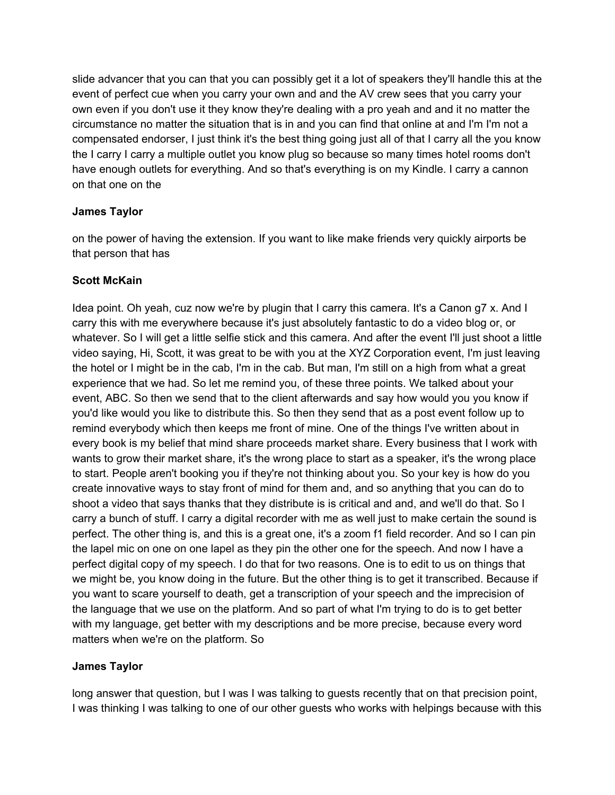slide advancer that you can that you can possibly get it a lot of speakers they'll handle this at the event of perfect cue when you carry your own and and the AV crew sees that you carry your own even if you don't use it they know they're dealing with a pro yeah and and it no matter the circumstance no matter the situation that is in and you can find that online at and I'm I'm not a compensated endorser, I just think it's the best thing going just all of that I carry all the you know the I carry I carry a multiple outlet you know plug so because so many times hotel rooms don't have enough outlets for everything. And so that's everything is on my Kindle. I carry a cannon on that one on the

### **James Taylor**

on the power of having the extension. If you want to like make friends very quickly airports be that person that has

### **Scott McKain**

Idea point. Oh yeah, cuz now we're by plugin that I carry this camera. It's a Canon g7 x. And I carry this with me everywhere because it's just absolutely fantastic to do a video blog or, or whatever. So I will get a little selfie stick and this camera. And after the event I'll just shoot a little video saying, Hi, Scott, it was great to be with you at the XYZ Corporation event, I'm just leaving the hotel or I might be in the cab, I'm in the cab. But man, I'm still on a high from what a great experience that we had. So let me remind you, of these three points. We talked about your event, ABC. So then we send that to the client afterwards and say how would you you know if you'd like would you like to distribute this. So then they send that as a post event follow up to remind everybody which then keeps me front of mine. One of the things I've written about in every book is my belief that mind share proceeds market share. Every business that I work with wants to grow their market share, it's the wrong place to start as a speaker, it's the wrong place to start. People aren't booking you if they're not thinking about you. So your key is how do you create innovative ways to stay front of mind for them and, and so anything that you can do to shoot a video that says thanks that they distribute is is critical and and, and we'll do that. So I carry a bunch of stuff. I carry a digital recorder with me as well just to make certain the sound is perfect. The other thing is, and this is a great one, it's a zoom f1 field recorder. And so I can pin the lapel mic on one on one lapel as they pin the other one for the speech. And now I have a perfect digital copy of my speech. I do that for two reasons. One is to edit to us on things that we might be, you know doing in the future. But the other thing is to get it transcribed. Because if you want to scare yourself to death, get a transcription of your speech and the imprecision of the language that we use on the platform. And so part of what I'm trying to do is to get better with my language, get better with my descriptions and be more precise, because every word matters when we're on the platform. So

## **James Taylor**

long answer that question, but I was I was talking to quests recently that on that precision point, I was thinking I was talking to one of our other guests who works with helpings because with this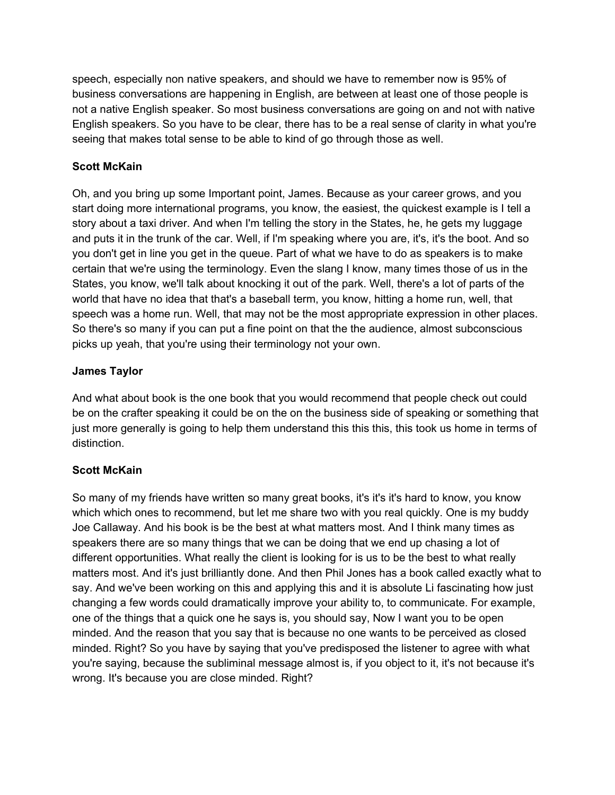speech, especially non native speakers, and should we have to remember now is 95% of business conversations are happening in English, are between at least one of those people is not a native English speaker. So most business conversations are going on and not with native English speakers. So you have to be clear, there has to be a real sense of clarity in what you're seeing that makes total sense to be able to kind of go through those as well.

## **Scott McKain**

Oh, and you bring up some Important point, James. Because as your career grows, and you start doing more international programs, you know, the easiest, the quickest example is I tell a story about a taxi driver. And when I'm telling the story in the States, he, he gets my luggage and puts it in the trunk of the car. Well, if I'm speaking where you are, it's, it's the boot. And so you don't get in line you get in the queue. Part of what we have to do as speakers is to make certain that we're using the terminology. Even the slang I know, many times those of us in the States, you know, we'll talk about knocking it out of the park. Well, there's a lot of parts of the world that have no idea that that's a baseball term, you know, hitting a home run, well, that speech was a home run. Well, that may not be the most appropriate expression in other places. So there's so many if you can put a fine point on that the the audience, almost subconscious picks up yeah, that you're using their terminology not your own.

## **James Taylor**

And what about book is the one book that you would recommend that people check out could be on the crafter speaking it could be on the on the business side of speaking or something that just more generally is going to help them understand this this this, this took us home in terms of distinction.

# **Scott McKain**

So many of my friends have written so many great books, it's it's it's hard to know, you know which which ones to recommend, but let me share two with you real quickly. One is my buddy Joe Callaway. And his book is be the best at what matters most. And I think many times as speakers there are so many things that we can be doing that we end up chasing a lot of different opportunities. What really the client is looking for is us to be the best to what really matters most. And it's just brilliantly done. And then Phil Jones has a book called exactly what to say. And we've been working on this and applying this and it is absolute Li fascinating how just changing a few words could dramatically improve your ability to, to communicate. For example, one of the things that a quick one he says is, you should say, Now I want you to be open minded. And the reason that you say that is because no one wants to be perceived as closed minded. Right? So you have by saying that you've predisposed the listener to agree with what you're saying, because the subliminal message almost is, if you object to it, it's not because it's wrong. It's because you are close minded. Right?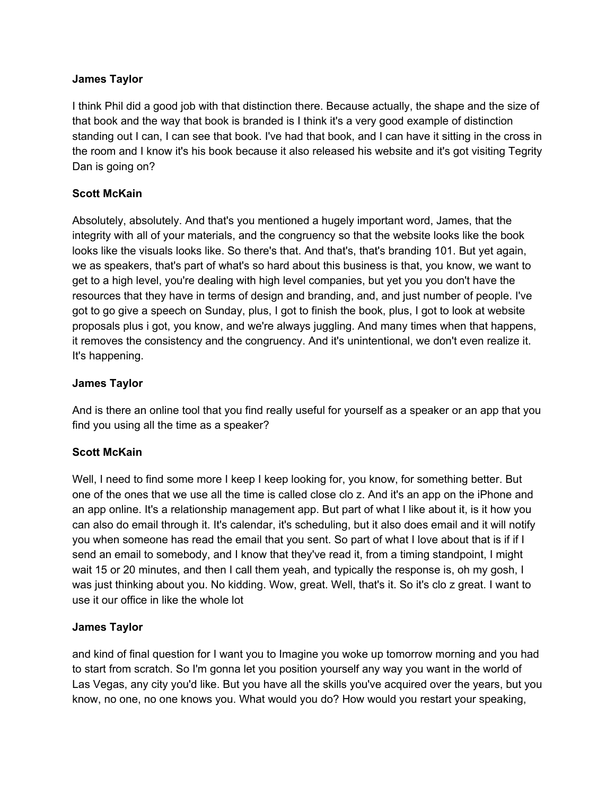### **James Taylor**

I think Phil did a good job with that distinction there. Because actually, the shape and the size of that book and the way that book is branded is I think it's a very good example of distinction standing out I can, I can see that book. I've had that book, and I can have it sitting in the cross in the room and I know it's his book because it also released his website and it's got visiting Tegrity Dan is going on?

## **Scott McKain**

Absolutely, absolutely. And that's you mentioned a hugely important word, James, that the integrity with all of your materials, and the congruency so that the website looks like the book looks like the visuals looks like. So there's that. And that's, that's branding 101. But yet again, we as speakers, that's part of what's so hard about this business is that, you know, we want to get to a high level, you're dealing with high level companies, but yet you you don't have the resources that they have in terms of design and branding, and, and just number of people. I've got to go give a speech on Sunday, plus, I got to finish the book, plus, I got to look at website proposals plus i got, you know, and we're always juggling. And many times when that happens, it removes the consistency and the congruency. And it's unintentional, we don't even realize it. It's happening.

## **James Taylor**

And is there an online tool that you find really useful for yourself as a speaker or an app that you find you using all the time as a speaker?

## **Scott McKain**

Well, I need to find some more I keep I keep looking for, you know, for something better. But one of the ones that we use all the time is called close clo z. And it's an app on the iPhone and an app online. It's a relationship management app. But part of what I like about it, is it how you can also do email through it. It's calendar, it's scheduling, but it also does email and it will notify you when someone has read the email that you sent. So part of what I love about that is if if I send an email to somebody, and I know that they've read it, from a timing standpoint, I might wait 15 or 20 minutes, and then I call them yeah, and typically the response is, oh my gosh, I was just thinking about you. No kidding. Wow, great. Well, that's it. So it's clo z great. I want to use it our office in like the whole lot

## **James Taylor**

and kind of final question for I want you to Imagine you woke up tomorrow morning and you had to start from scratch. So I'm gonna let you position yourself any way you want in the world of Las Vegas, any city you'd like. But you have all the skills you've acquired over the years, but you know, no one, no one knows you. What would you do? How would you restart your speaking,